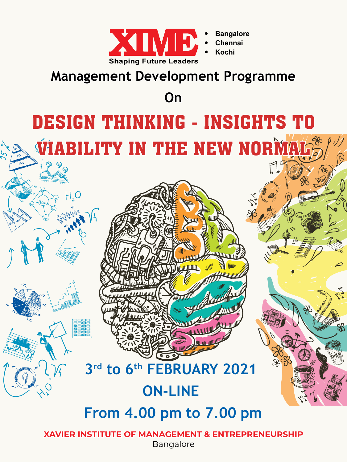

# **Management Development Programme**

**On**

# Design Thinking - Insights to VIABILITY IN THE NEW NORM

# **3rd to 6th February 2021**

iii ilitti r

# **On-line**

 **From 4.00 pm to 7.00 pm**

**XAVIER INSTITUTE OF MANAGEMENT & ENTREPRENEURSHIP** Bangalore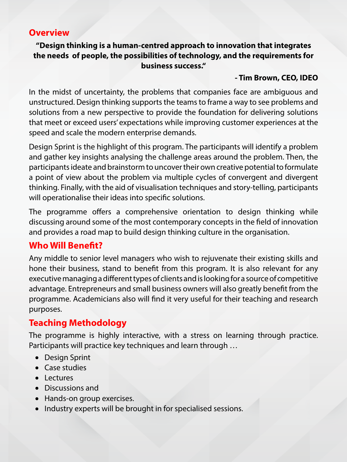#### **Overview**

**"Design thinking is a human-centred approach to innovation that integrates the needs of people, the possibilities of technology, and the requirements for business success."**

#### **- Tim Brown, CEO, IDEO**

In the midst of uncertainty, the problems that companies face are ambiguous and unstructured. Design thinking supports the teams to frame a way to see problems and solutions from a new perspective to provide the foundation for delivering solutions that meet or exceed users' expectations while improving customer experiences at the speed and scale the modern enterprise demands.

Design Sprint is the highlight of this program. The participants will identify a problem and gather key insights analysing the challenge areas around the problem. Then, the participants ideate and brainstorm to uncover their own creative potential to formulate a point of view about the problem via multiple cycles of convergent and divergent thinking. Finally, with the aid of visualisation techniques and story-telling, participants will operationalise their ideas into specific solutions.

The programme offers a comprehensive orientation to design thinking while discussing around some of the most contemporary concepts in the field of innovation and provides a road map to build design thinking culture in the organisation.

## **Who Will Benefit?**

Any middle to senior level managers who wish to rejuvenate their existing skills and hone their business, stand to benefit from this program. It is also relevant for any executive managing a different types of clients and is looking for a source of competitive advantage. Entrepreneurs and small business owners will also greatly benefit from the programme. Academicians also will find it very useful for their teaching and research purposes.

## **Teaching Methodology**

The programme is highly interactive, with a stress on learning through practice. Participants will practice key techniques and learn through …

- Design Sprint
- Case studies
- Lectures
- • Discussions and
- Hands-on group exercises.
- Industry experts will be brought in for specialised sessions.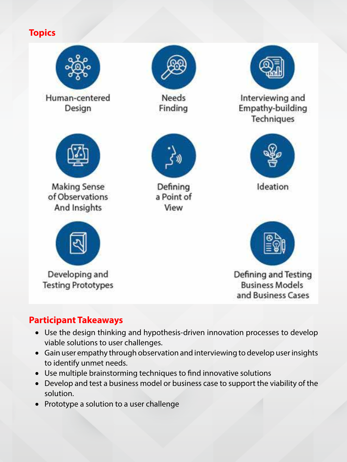# **Topics**



## **Participant Takeaways**

- Use the design thinking and hypothesis-driven innovation processes to develop viable solutions to user challenges.
- Gain user empathy through observation and interviewing to develop user insights to identify unmet needs.
- Use multiple brainstorming techniques to find innovative solutions
- Develop and test a business model or business case to support the viability of the solution.
- Prototype a solution to a user challenge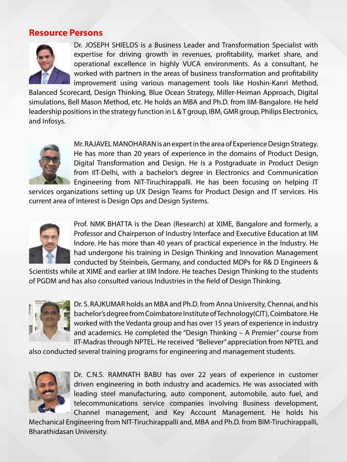#### **Resource Persons**



Dr. JOSEPH SHIELDS is a Business Leader and Transformation Specialist with expertise for driving growth in revenues, profitability, market share, and operational excellence in highly VUCA environments. As a consultant, he worked with partners in the areas of business transformation and profitability improvement using various management tools like Hoshin-Kanri Method,

Balanced Scorecard, Design Thinking, Blue Ocean Strategy, Miller-Heiman Approach, Digital simulations, Bell Mason Method, etc. He holds an MBA and Ph.D. from IIM-Bangalore. He held leadership positions in the strategy function in L & T group, IBM, GMR group, Philips Electronics, and Infosys.



Mr. RAJAVEL MANOHARAN is an expert in the area of Experience Design Strategy. He has more than 20 years of experience in the domains of Product Design, Digital Transformation and Design. He is a Postgraduate in Product Design from IIT-Delhi, with a bachelor's degree in Electronics and Communication Engineering from NIT-Tiruchirappalli. He has been focusing on helping IT

services organizations setting up UX Design Teams for Product Design and IT services. His current area of Interest is Design Ops and Design Systems.



Prof. NMK BHATTA is the Dean (Research) at XIME, Bangalore and formerly, a Professor and Chairperson of Industry Interface and Executive Education at IIM Indore. He has more than 40 years of practical experience in the Industry. He had undergone his training in Design Thinking and Innovation Management conducted by Steinbeis, Germany, and conducted MDPs for R& D Engineers &

Scientists while at XIME and earlier at IIM Indore. He teaches Design Thinking to the students of PGDM and has also consulted various Industries in the field of Design Thinking.



Dr. S. RAJKUMAR holds an MBA and Ph.D. from Anna University, Chennai, and his bachelor's degree from Coimbatore Institute of Technology(CIT), Coimbatore. He worked with the Vedanta group and has over 15 years of experience in industry and academics. He completed the "Design Thinking – A Premier" course from IIT-Madras through NPTEL. He received "Believer" appreciation from NPTEL and

also conducted several training programs for engineering and management students.



Dr. C.N.S. RAMNATH BABU has over 22 years of experience in customer driven engineering in both industry and academics. He was associated with leading steel manufacturing, auto component, automobile, auto fuel, and telecommunications service companies involving Business development, Channel management, and Key Account Management. He holds his

Mechanical Engineering from NIT-Tiruchirappalli and, MBA and Ph.D. from BIM-Tiruchirappalli, Bharathidasan University.